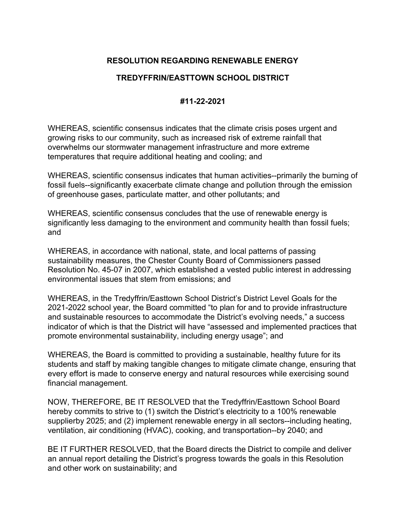## **RESOLUTION REGARDING RENEWABLE ENERGY**

## **TREDYFFRIN/EASTTOWN SCHOOL DISTRICT**

## **#11-22-2021**

WHEREAS, scientific consensus indicates that the climate crisis poses urgent and growing risks to our community, such as increased risk of extreme rainfall that overwhelms our stormwater management infrastructure and more extreme temperatures that require additional heating and cooling; and

WHEREAS, scientific consensus indicates that human activities--primarily the burning of fossil fuels--significantly exacerbate climate change and pollution through the emission of greenhouse gases, particulate matter, and other pollutants; and

WHEREAS, scientific consensus concludes that the use of renewable energy is significantly less damaging to the environment and community health than fossil fuels; and

WHEREAS, in accordance with national, state, and local patterns of passing sustainability measures, the Chester County Board of Commissioners passed Resolution No. 45-07 in 2007, which established a vested public interest in addressing environmental issues that stem from emissions; and

WHEREAS, in the Tredyffrin/Easttown School District's District Level Goals for the 2021-2022 school year, the Board committed "to plan for and to provide infrastructure and sustainable resources to accommodate the District's evolving needs," a success indicator of which is that the District will have "assessed and implemented practices that promote environmental sustainability, including energy usage"; and

WHEREAS, the Board is committed to providing a sustainable, healthy future for its students and staff by making tangible changes to mitigate climate change, ensuring that every effort is made to conserve energy and natural resources while exercising sound financial management.

NOW, THEREFORE, BE IT RESOLVED that the Tredyffrin/Easttown School Board hereby commits to strive to (1) switch the District's electricity to a 100% renewable supplierby 2025; and (2) implement renewable energy in all sectors--including heating, ventilation, air conditioning (HVAC), cooking, and transportation--by 2040; and

BE IT FURTHER RESOLVED, that the Board directs the District to compile and deliver an annual report detailing the District's progress towards the goals in this Resolution and other work on sustainability; and